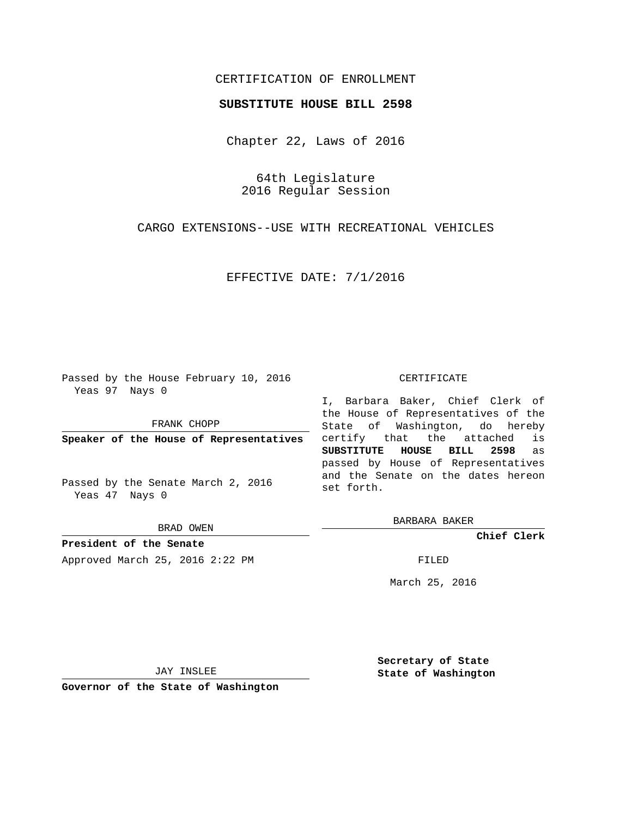## CERTIFICATION OF ENROLLMENT

## **SUBSTITUTE HOUSE BILL 2598**

Chapter 22, Laws of 2016

64th Legislature 2016 Regular Session

CARGO EXTENSIONS--USE WITH RECREATIONAL VEHICLES

EFFECTIVE DATE: 7/1/2016

Passed by the House February 10, 2016 Yeas 97 Nays 0

FRANK CHOPP

**Speaker of the House of Representatives**

Passed by the Senate March 2, 2016 Yeas 47 Nays 0

BRAD OWEN

**President of the Senate** Approved March 25, 2016 2:22 PM FILED

## CERTIFICATE

I, Barbara Baker, Chief Clerk of the House of Representatives of the State of Washington, do hereby certify that the attached is **SUBSTITUTE HOUSE BILL 2598** as passed by House of Representatives and the Senate on the dates hereon set forth.

BARBARA BAKER

**Chief Clerk**

March 25, 2016

JAY INSLEE

**Governor of the State of Washington**

**Secretary of State State of Washington**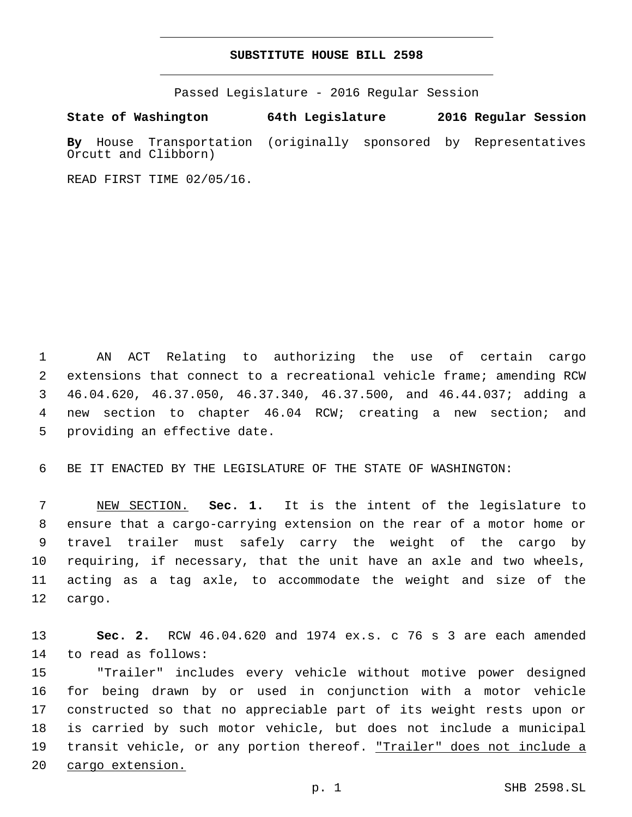## **SUBSTITUTE HOUSE BILL 2598**

Passed Legislature - 2016 Regular Session

**State of Washington 64th Legislature 2016 Regular Session By** House Transportation (originally sponsored by Representatives Orcutt and Clibborn)

READ FIRST TIME 02/05/16.

 AN ACT Relating to authorizing the use of certain cargo extensions that connect to a recreational vehicle frame; amending RCW 46.04.620, 46.37.050, 46.37.340, 46.37.500, and 46.44.037; adding a new section to chapter 46.04 RCW; creating a new section; and 5 providing an effective date.

BE IT ENACTED BY THE LEGISLATURE OF THE STATE OF WASHINGTON:

 NEW SECTION. **Sec. 1.** It is the intent of the legislature to ensure that a cargo-carrying extension on the rear of a motor home or travel trailer must safely carry the weight of the cargo by requiring, if necessary, that the unit have an axle and two wheels, acting as a tag axle, to accommodate the weight and size of the cargo.

 **Sec. 2.** RCW 46.04.620 and 1974 ex.s. c 76 s 3 are each amended 14 to read as follows:

 "Trailer" includes every vehicle without motive power designed for being drawn by or used in conjunction with a motor vehicle constructed so that no appreciable part of its weight rests upon or is carried by such motor vehicle, but does not include a municipal 19 transit vehicle, or any portion thereof. <u>"Trailer" does not include a</u> cargo extension.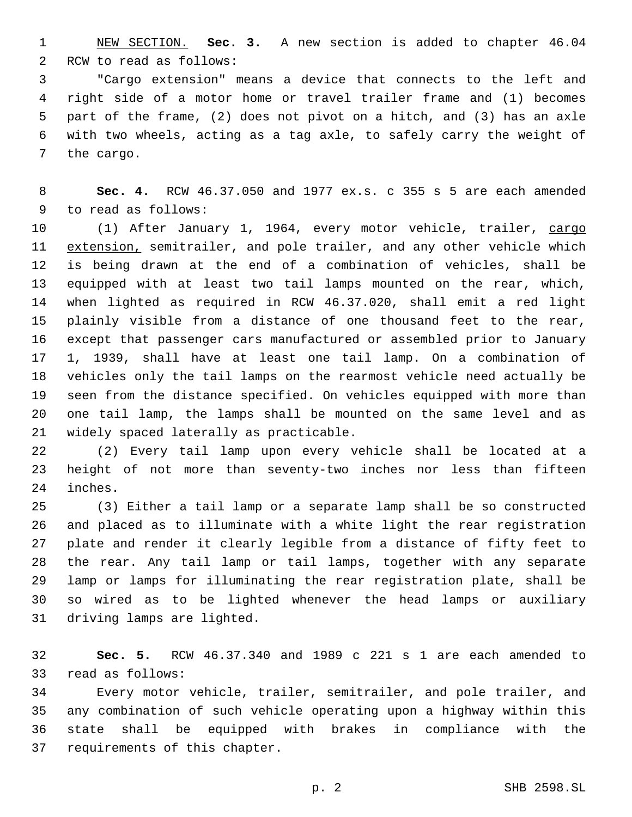NEW SECTION. **Sec. 3.** A new section is added to chapter 46.04 2 RCW to read as follows:

 "Cargo extension" means a device that connects to the left and right side of a motor home or travel trailer frame and (1) becomes part of the frame, (2) does not pivot on a hitch, and (3) has an axle with two wheels, acting as a tag axle, to safely carry the weight of 7 the cargo.

 **Sec. 4.** RCW 46.37.050 and 1977 ex.s. c 355 s 5 are each amended 9 to read as follows:

 (1) After January 1, 1964, every motor vehicle, trailer, cargo 11 extension, semitrailer, and pole trailer, and any other vehicle which is being drawn at the end of a combination of vehicles, shall be equipped with at least two tail lamps mounted on the rear, which, when lighted as required in RCW 46.37.020, shall emit a red light plainly visible from a distance of one thousand feet to the rear, except that passenger cars manufactured or assembled prior to January 1, 1939, shall have at least one tail lamp. On a combination of vehicles only the tail lamps on the rearmost vehicle need actually be seen from the distance specified. On vehicles equipped with more than one tail lamp, the lamps shall be mounted on the same level and as 21 widely spaced laterally as practicable.

 (2) Every tail lamp upon every vehicle shall be located at a height of not more than seventy-two inches nor less than fifteen 24 inches.

 (3) Either a tail lamp or a separate lamp shall be so constructed and placed as to illuminate with a white light the rear registration plate and render it clearly legible from a distance of fifty feet to the rear. Any tail lamp or tail lamps, together with any separate lamp or lamps for illuminating the rear registration plate, shall be so wired as to be lighted whenever the head lamps or auxiliary 31 driving lamps are lighted.

 **Sec. 5.** RCW 46.37.340 and 1989 c 221 s 1 are each amended to 33 read as follows:

 Every motor vehicle, trailer, semitrailer, and pole trailer, and any combination of such vehicle operating upon a highway within this state shall be equipped with brakes in compliance with the 37 requirements of this chapter.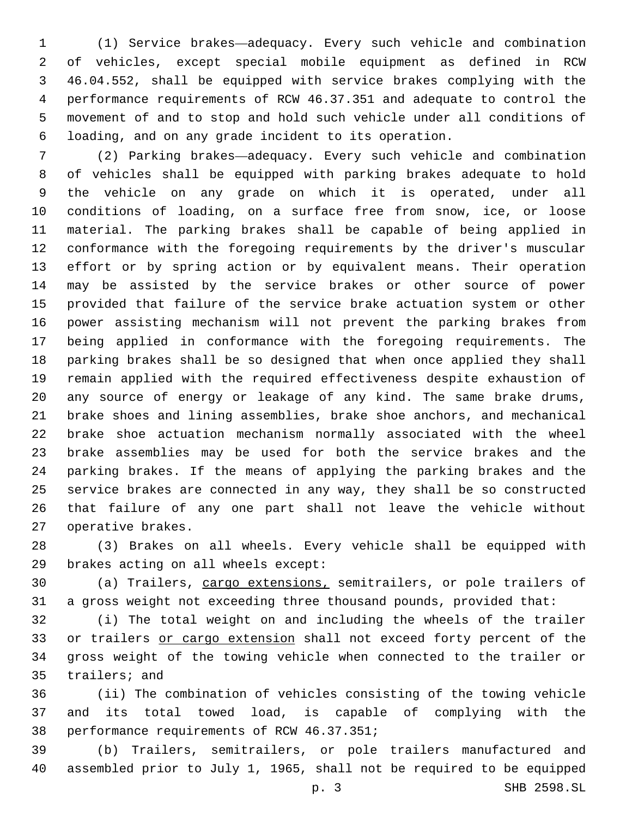(1) Service brakes—adequacy. Every such vehicle and combination of vehicles, except special mobile equipment as defined in RCW 46.04.552, shall be equipped with service brakes complying with the performance requirements of RCW 46.37.351 and adequate to control the movement of and to stop and hold such vehicle under all conditions of loading, and on any grade incident to its operation.

 (2) Parking brakes—adequacy. Every such vehicle and combination of vehicles shall be equipped with parking brakes adequate to hold the vehicle on any grade on which it is operated, under all conditions of loading, on a surface free from snow, ice, or loose material. The parking brakes shall be capable of being applied in conformance with the foregoing requirements by the driver's muscular effort or by spring action or by equivalent means. Their operation may be assisted by the service brakes or other source of power provided that failure of the service brake actuation system or other power assisting mechanism will not prevent the parking brakes from being applied in conformance with the foregoing requirements. The parking brakes shall be so designed that when once applied they shall remain applied with the required effectiveness despite exhaustion of any source of energy or leakage of any kind. The same brake drums, brake shoes and lining assemblies, brake shoe anchors, and mechanical brake shoe actuation mechanism normally associated with the wheel brake assemblies may be used for both the service brakes and the parking brakes. If the means of applying the parking brakes and the service brakes are connected in any way, they shall be so constructed that failure of any one part shall not leave the vehicle without 27 operative brakes.

 (3) Brakes on all wheels. Every vehicle shall be equipped with 29 brakes acting on all wheels except:

 (a) Trailers, cargo extensions, semitrailers, or pole trailers of a gross weight not exceeding three thousand pounds, provided that:

 (i) The total weight on and including the wheels of the trailer or trailers or cargo extension shall not exceed forty percent of the gross weight of the towing vehicle when connected to the trailer or 35 trailers; and

 (ii) The combination of vehicles consisting of the towing vehicle and its total towed load, is capable of complying with the 38 performance requirements of RCW 46.37.351;

 (b) Trailers, semitrailers, or pole trailers manufactured and assembled prior to July 1, 1965, shall not be required to be equipped

p. 3 SHB 2598.SL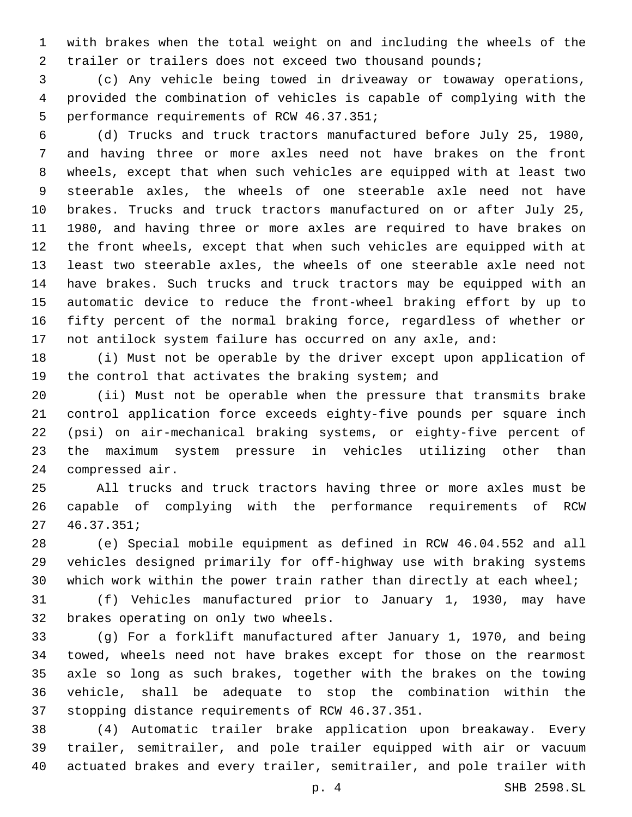with brakes when the total weight on and including the wheels of the 2 trailer or trailers does not exceed two thousand pounds;

 (c) Any vehicle being towed in driveaway or towaway operations, provided the combination of vehicles is capable of complying with the 5 performance requirements of RCW 46.37.351;

 (d) Trucks and truck tractors manufactured before July 25, 1980, and having three or more axles need not have brakes on the front wheels, except that when such vehicles are equipped with at least two steerable axles, the wheels of one steerable axle need not have brakes. Trucks and truck tractors manufactured on or after July 25, 1980, and having three or more axles are required to have brakes on the front wheels, except that when such vehicles are equipped with at least two steerable axles, the wheels of one steerable axle need not have brakes. Such trucks and truck tractors may be equipped with an automatic device to reduce the front-wheel braking effort by up to fifty percent of the normal braking force, regardless of whether or not antilock system failure has occurred on any axle, and:

 (i) Must not be operable by the driver except upon application of the control that activates the braking system; and

 (ii) Must not be operable when the pressure that transmits brake control application force exceeds eighty-five pounds per square inch (psi) on air-mechanical braking systems, or eighty-five percent of the maximum system pressure in vehicles utilizing other than 24 compressed air.

 All trucks and truck tractors having three or more axles must be capable of complying with the performance requirements of RCW  $27, 46.37.351i$ 

 (e) Special mobile equipment as defined in RCW 46.04.552 and all vehicles designed primarily for off-highway use with braking systems which work within the power train rather than directly at each wheel;

 (f) Vehicles manufactured prior to January 1, 1930, may have 32 brakes operating on only two wheels.

 (g) For a forklift manufactured after January 1, 1970, and being towed, wheels need not have brakes except for those on the rearmost axle so long as such brakes, together with the brakes on the towing vehicle, shall be adequate to stop the combination within the 37 stopping distance requirements of RCW 46.37.351.

 (4) Automatic trailer brake application upon breakaway. Every trailer, semitrailer, and pole trailer equipped with air or vacuum actuated brakes and every trailer, semitrailer, and pole trailer with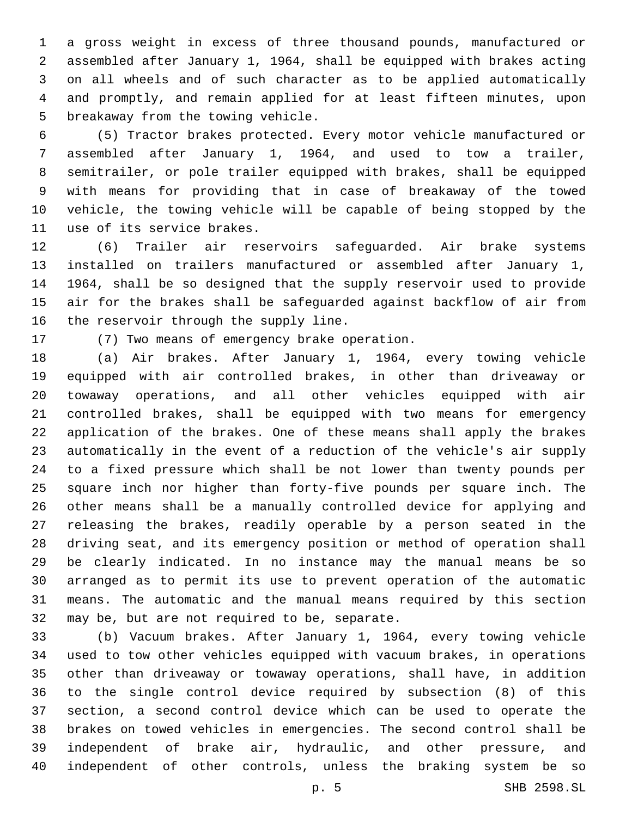a gross weight in excess of three thousand pounds, manufactured or assembled after January 1, 1964, shall be equipped with brakes acting on all wheels and of such character as to be applied automatically and promptly, and remain applied for at least fifteen minutes, upon 5 breakaway from the towing vehicle.

 (5) Tractor brakes protected. Every motor vehicle manufactured or assembled after January 1, 1964, and used to tow a trailer, semitrailer, or pole trailer equipped with brakes, shall be equipped with means for providing that in case of breakaway of the towed vehicle, the towing vehicle will be capable of being stopped by the 11 use of its service brakes.

 (6) Trailer air reservoirs safeguarded. Air brake systems installed on trailers manufactured or assembled after January 1, 1964, shall be so designed that the supply reservoir used to provide air for the brakes shall be safeguarded against backflow of air from 16 the reservoir through the supply line.

17 (7) Two means of emergency brake operation.

 (a) Air brakes. After January 1, 1964, every towing vehicle equipped with air controlled brakes, in other than driveaway or towaway operations, and all other vehicles equipped with air controlled brakes, shall be equipped with two means for emergency application of the brakes. One of these means shall apply the brakes automatically in the event of a reduction of the vehicle's air supply to a fixed pressure which shall be not lower than twenty pounds per square inch nor higher than forty-five pounds per square inch. The other means shall be a manually controlled device for applying and releasing the brakes, readily operable by a person seated in the driving seat, and its emergency position or method of operation shall be clearly indicated. In no instance may the manual means be so arranged as to permit its use to prevent operation of the automatic means. The automatic and the manual means required by this section 32 may be, but are not required to be, separate.

 (b) Vacuum brakes. After January 1, 1964, every towing vehicle used to tow other vehicles equipped with vacuum brakes, in operations other than driveaway or towaway operations, shall have, in addition to the single control device required by subsection (8) of this section, a second control device which can be used to operate the brakes on towed vehicles in emergencies. The second control shall be independent of brake air, hydraulic, and other pressure, and independent of other controls, unless the braking system be so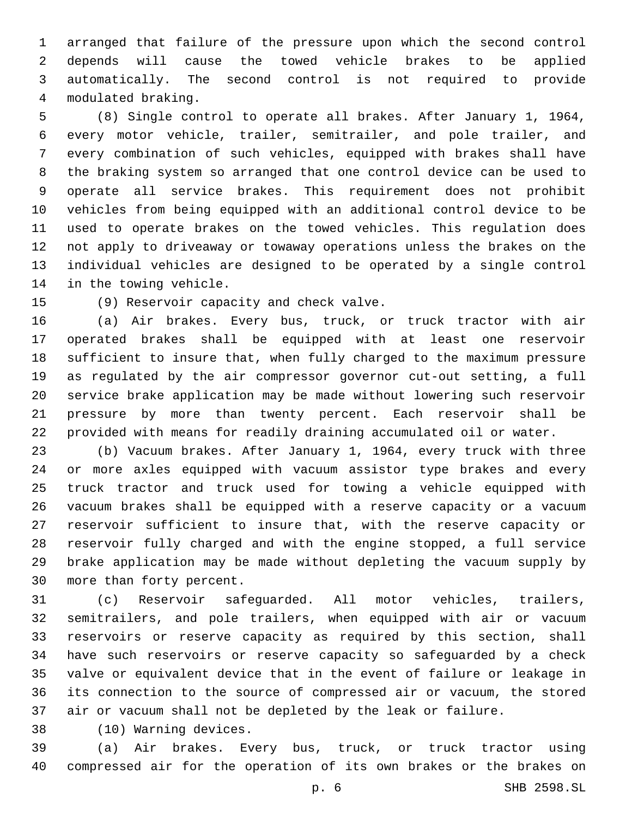arranged that failure of the pressure upon which the second control depends will cause the towed vehicle brakes to be applied automatically. The second control is not required to provide modulated braking.4

 (8) Single control to operate all brakes. After January 1, 1964, every motor vehicle, trailer, semitrailer, and pole trailer, and every combination of such vehicles, equipped with brakes shall have the braking system so arranged that one control device can be used to operate all service brakes. This requirement does not prohibit vehicles from being equipped with an additional control device to be used to operate brakes on the towed vehicles. This regulation does not apply to driveaway or towaway operations unless the brakes on the individual vehicles are designed to be operated by a single control 14 in the towing vehicle.

15 (9) Reservoir capacity and check valve.

 (a) Air brakes. Every bus, truck, or truck tractor with air operated brakes shall be equipped with at least one reservoir sufficient to insure that, when fully charged to the maximum pressure as regulated by the air compressor governor cut-out setting, a full service brake application may be made without lowering such reservoir pressure by more than twenty percent. Each reservoir shall be provided with means for readily draining accumulated oil or water.

 (b) Vacuum brakes. After January 1, 1964, every truck with three or more axles equipped with vacuum assistor type brakes and every truck tractor and truck used for towing a vehicle equipped with vacuum brakes shall be equipped with a reserve capacity or a vacuum reservoir sufficient to insure that, with the reserve capacity or reservoir fully charged and with the engine stopped, a full service brake application may be made without depleting the vacuum supply by 30 more than forty percent.

 (c) Reservoir safeguarded. All motor vehicles, trailers, semitrailers, and pole trailers, when equipped with air or vacuum reservoirs or reserve capacity as required by this section, shall have such reservoirs or reserve capacity so safeguarded by a check valve or equivalent device that in the event of failure or leakage in its connection to the source of compressed air or vacuum, the stored air or vacuum shall not be depleted by the leak or failure.

(10) Warning devices.38

 (a) Air brakes. Every bus, truck, or truck tractor using compressed air for the operation of its own brakes or the brakes on

p. 6 SHB 2598.SL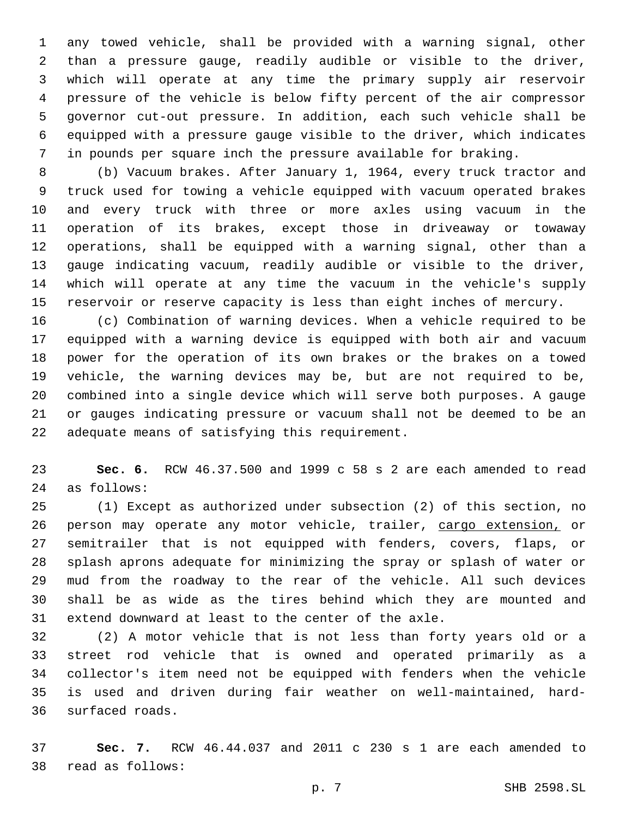any towed vehicle, shall be provided with a warning signal, other than a pressure gauge, readily audible or visible to the driver, which will operate at any time the primary supply air reservoir pressure of the vehicle is below fifty percent of the air compressor governor cut-out pressure. In addition, each such vehicle shall be equipped with a pressure gauge visible to the driver, which indicates in pounds per square inch the pressure available for braking.

 (b) Vacuum brakes. After January 1, 1964, every truck tractor and truck used for towing a vehicle equipped with vacuum operated brakes and every truck with three or more axles using vacuum in the operation of its brakes, except those in driveaway or towaway operations, shall be equipped with a warning signal, other than a gauge indicating vacuum, readily audible or visible to the driver, which will operate at any time the vacuum in the vehicle's supply reservoir or reserve capacity is less than eight inches of mercury.

 (c) Combination of warning devices. When a vehicle required to be equipped with a warning device is equipped with both air and vacuum power for the operation of its own brakes or the brakes on a towed vehicle, the warning devices may be, but are not required to be, combined into a single device which will serve both purposes. A gauge or gauges indicating pressure or vacuum shall not be deemed to be an 22 adequate means of satisfying this requirement.

 **Sec. 6.** RCW 46.37.500 and 1999 c 58 s 2 are each amended to read 24 as follows:

 (1) Except as authorized under subsection (2) of this section, no 26 person may operate any motor vehicle, trailer, cargo extension, or semitrailer that is not equipped with fenders, covers, flaps, or splash aprons adequate for minimizing the spray or splash of water or mud from the roadway to the rear of the vehicle. All such devices shall be as wide as the tires behind which they are mounted and extend downward at least to the center of the axle.

 (2) A motor vehicle that is not less than forty years old or a street rod vehicle that is owned and operated primarily as a collector's item need not be equipped with fenders when the vehicle is used and driven during fair weather on well-maintained, hard-36 surfaced roads.

 **Sec. 7.** RCW 46.44.037 and 2011 c 230 s 1 are each amended to 38 read as follows: